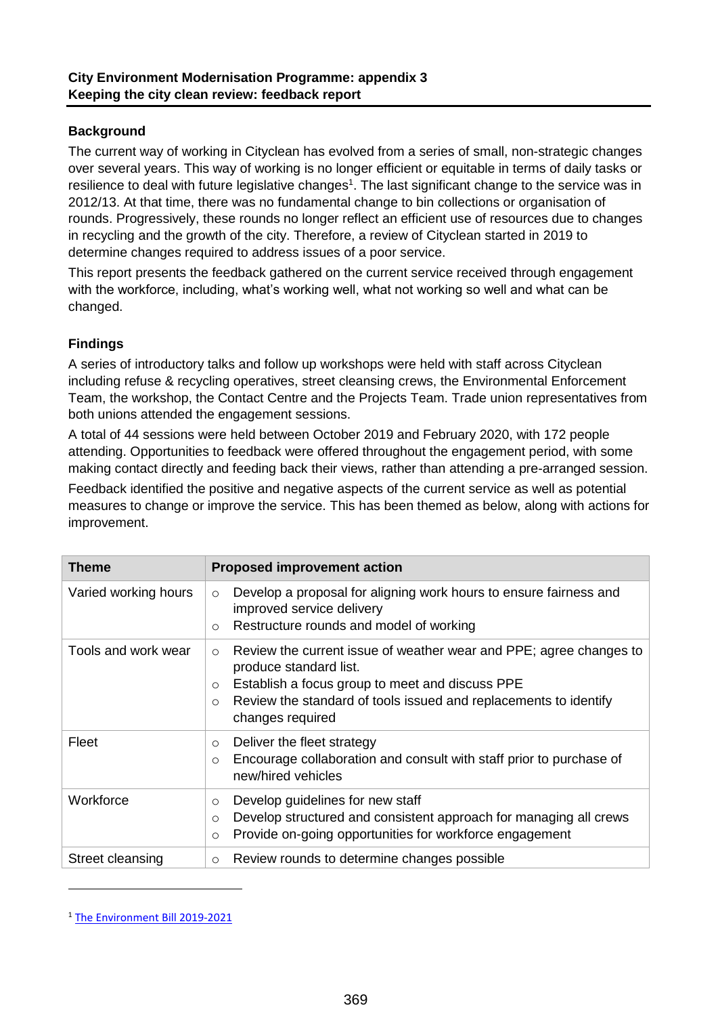## **Background**

The current way of working in Cityclean has evolved from a series of small, non-strategic changes over several years. This way of working is no longer efficient or equitable in terms of daily tasks or resilience to deal with future legislative changes<sup>1</sup>. The last significant change to the service was in 2012/13. At that time, there was no fundamental change to bin collections or organisation of rounds. Progressively, these rounds no longer reflect an efficient use of resources due to changes in recycling and the growth of the city. Therefore, a review of Cityclean started in 2019 to determine changes required to address issues of a poor service.

This report presents the feedback gathered on the current service received through engagement with the workforce, including, what's working well, what not working so well and what can be changed.

## **Findings**

A series of introductory talks and follow up workshops were held with staff across Cityclean including refuse & recycling operatives, street cleansing crews, the Environmental Enforcement Team, the workshop, the Contact Centre and the Projects Team. Trade union representatives from both unions attended the engagement sessions.

A total of 44 sessions were held between October 2019 and February 2020, with 172 people attending. Opportunities to feedback were offered throughout the engagement period, with some making contact directly and feeding back their views, rather than attending a pre-arranged session.

Feedback identified the positive and negative aspects of the current service as well as potential measures to change or improve the service. This has been themed as below, along with actions for improvement.

| Theme                | <b>Proposed improvement action</b>                                                                                                                                                                                                                                        |  |
|----------------------|---------------------------------------------------------------------------------------------------------------------------------------------------------------------------------------------------------------------------------------------------------------------------|--|
| Varied working hours | Develop a proposal for aligning work hours to ensure fairness and<br>$\circ$<br>improved service delivery<br>Restructure rounds and model of working<br>$\circ$                                                                                                           |  |
| Tools and work wear  | Review the current issue of weather wear and PPE; agree changes to<br>$\circ$<br>produce standard list.<br>Establish a focus group to meet and discuss PPE<br>$\circ$<br>Review the standard of tools issued and replacements to identify<br>$\Omega$<br>changes required |  |
| Fleet                | Deliver the fleet strategy<br>$\circ$<br>Encourage collaboration and consult with staff prior to purchase of<br>$\circ$<br>new/hired vehicles                                                                                                                             |  |
| Workforce            | Develop guidelines for new staff<br>$\circ$<br>Develop structured and consistent approach for managing all crews<br>$\Omega$<br>Provide on-going opportunities for workforce engagement<br>$\Omega$                                                                       |  |
| Street cleansing     | Review rounds to determine changes possible<br>$\circ$                                                                                                                                                                                                                    |  |

<sup>&</sup>lt;sup>1</sup> The Environment Bill 2019-2021

 $\overline{a}$